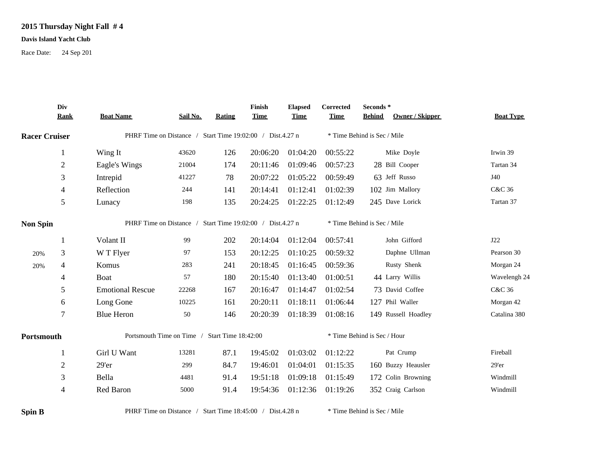## **2015 Thursday Night Fall # 4**

## **Davis Island Yacht Club**

Race Date: 24 Sep 201

|                      | Div<br><b>Rank</b>                                        | <b>Boat Name</b>                                          | Sail No. | Rating | Finish<br><b>Time</b> | <b>Elapsed</b><br><b>Time</b> | Corrected<br><b>Time</b>    | Seconds*<br><b>Owner / Skipper</b><br><b>Behind</b> | <b>Boat Type</b> |  |  |
|----------------------|-----------------------------------------------------------|-----------------------------------------------------------|----------|--------|-----------------------|-------------------------------|-----------------------------|-----------------------------------------------------|------------------|--|--|
| <b>Racer Cruiser</b> |                                                           | PHRF Time on Distance / Start Time 19:02:00 / Dist.4.27 n |          |        |                       |                               | * Time Behind is Sec / Mile |                                                     |                  |  |  |
|                      |                                                           | Wing It                                                   | 43620    | 126    | 20:06:20              | 01:04:20                      | 00:55:22                    | Mike Doyle                                          | Irwin 39         |  |  |
|                      | $\overline{2}$                                            | Eagle's Wings                                             | 21004    | 174    | 20:11:46              | 01:09:46                      | 00:57:23                    | 28 Bill Cooper                                      | Tartan 34        |  |  |
|                      | 3                                                         | Intrepid                                                  | 41227    | 78     | 20:07:22              | 01:05:22                      | 00:59:49                    | 63 Jeff Russo                                       | J40              |  |  |
|                      | $\overline{4}$                                            | Reflection                                                | 244      | 141    | 20:14:41              | 01:12:41                      | 01:02:39                    | 102 Jim Mallory                                     | C&C 36           |  |  |
|                      | 5                                                         | Lunacy                                                    | 198      | 135    | 20:24:25              | 01:22:25                      | 01:12:49                    | 245 Dave Lorick                                     | Tartan 37        |  |  |
| <b>Non Spin</b>      |                                                           | PHRF Time on Distance / Start Time 19:02:00 / Dist.4.27 n |          |        |                       |                               |                             | * Time Behind is Sec / Mile                         |                  |  |  |
|                      | 1                                                         | Volant II                                                 | 99       | 202    | 20:14:04              | 01:12:04                      | 00:57:41                    | John Gifford                                        | J22              |  |  |
| 20%                  | 3                                                         | W T Flyer                                                 | 97       | 153    | 20:12:25              | 01:10:25                      | 00:59:32                    | Daphne Ullman                                       | Pearson 30       |  |  |
| 20%                  | 4                                                         | Komus                                                     | 283      | 241    | 20:18:45              | 01:16:45                      | 00:59:36                    | Rusty Shenk                                         | Morgan 24        |  |  |
|                      | 4                                                         | Boat                                                      | 57       | 180    | 20:15:40              | 01:13:40                      | 01:00:51                    | 44 Larry Willis                                     | Wavelengh 24     |  |  |
|                      | 5                                                         | <b>Emotional Rescue</b>                                   | 22268    | 167    | 20:16:47              | 01:14:47                      | 01:02:54                    | 73 David Coffee                                     | C&C 36           |  |  |
|                      | 6                                                         | Long Gone                                                 | 10225    | 161    | 20:20:11              | 01:18:11                      | 01:06:44                    | 127 Phil Waller                                     | Morgan 42        |  |  |
|                      | 7                                                         | <b>Blue Heron</b>                                         | $50\,$   | 146    | 20:20:39              | 01:18:39                      | 01:08:16                    | 149 Russell Hoadley                                 | Catalina 380     |  |  |
| Portsmouth           |                                                           | Portsmouth Time on Time / Start Time 18:42:00             |          |        |                       |                               |                             | * Time Behind is Sec / Hour                         |                  |  |  |
|                      |                                                           | Girl U Want                                               | 13281    | 87.1   | 19:45:02              | 01:03:02                      | 01:12:22                    | Pat Crump                                           | Fireball         |  |  |
|                      | $\overline{c}$                                            | 29'er                                                     | 299      | 84.7   | 19:46:01              | 01:04:01                      | 01:15:35                    | 160 Buzzy Heausler                                  | $29'$ er         |  |  |
|                      | 3                                                         | Bella                                                     | 4481     | 91.4   | 19:51:18              | 01:09:18                      | 01:15:49                    | 172 Colin Browning                                  | Windmill         |  |  |
|                      | 4                                                         | Red Baron                                                 | 5000     | 91.4   | 19:54:36              | 01:12:36                      | 01:19:26                    | 352 Craig Carlson                                   | Windmill         |  |  |
| <b>Spin B</b>        | PHRF Time on Distance / Start Time 18:45:00 / Dist.4.28 n |                                                           |          |        |                       |                               |                             | * Time Behind is Sec / Mile                         |                  |  |  |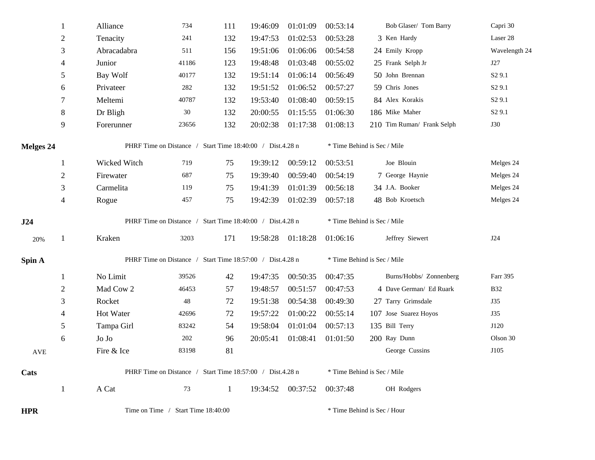|                  | $\mathbf{1}$   | Alliance                                                  | 734   | 111          | 19:46:09 | 01:01:09          | 00:53:14                    | Bob Glaser/ Tom Barry       | Capri 30           |  |  |
|------------------|----------------|-----------------------------------------------------------|-------|--------------|----------|-------------------|-----------------------------|-----------------------------|--------------------|--|--|
|                  | $\overline{c}$ | Tenacity                                                  | 241   | 132          | 19:47:53 | 01:02:53          | 00:53:28                    | 3 Ken Hardy                 | Laser 28           |  |  |
|                  | 3              | Abracadabra                                               | 511   | 156          | 19:51:06 | 01:06:06          | 00:54:58                    | 24 Emily Kropp              | Wavelength 24      |  |  |
|                  | $\overline{4}$ | Junior                                                    | 41186 | 123          | 19:48:48 | 01:03:48          | 00:55:02                    | 25 Frank Selph Jr           | J27                |  |  |
|                  | 5              | Bay Wolf                                                  | 40177 | 132          | 19:51:14 | 01:06:14          | 00:56:49                    | 50 John Brennan             | S <sub>2</sub> 9.1 |  |  |
|                  | 6              | Privateer                                                 | 282   | 132          | 19:51:52 | 01:06:52          | 00:57:27                    | 59 Chris Jones              | S <sub>2</sub> 9.1 |  |  |
|                  | 7              | Meltemi                                                   | 40787 | 132          | 19:53:40 | 01:08:40          | 00:59:15                    | 84 Alex Korakis             | S <sub>2</sub> 9.1 |  |  |
|                  | $\,8\,$        | Dr Bligh                                                  | 30    | 132          | 20:00:55 | 01:15:55          | 01:06:30                    | 186 Mike Maher              | S <sub>2</sub> 9.1 |  |  |
|                  | 9              | Forerunner                                                | 23656 | 132          | 20:02:38 | 01:17:38          | 01:08:13                    | 210 Tim Ruman/ Frank Selph  | <b>J30</b>         |  |  |
| <b>Melges 24</b> |                | PHRF Time on Distance / Start Time 18:40:00 / Dist.4.28 n |       |              |          |                   |                             | * Time Behind is Sec / Mile |                    |  |  |
|                  | 1              | Wicked Witch                                              | 719   | 75           | 19:39:12 | 00:59:12          | 00:53:51                    | Joe Blouin                  | Melges 24          |  |  |
|                  | $\sqrt{2}$     | Firewater                                                 | 687   | 75           | 19:39:40 | 00:59:40          | 00:54:19                    | 7 George Haynie             | Melges 24          |  |  |
|                  | 3              | Carmelita                                                 | 119   | 75           | 19:41:39 | 01:01:39          | 00:56:18                    | 34 J.A. Booker              | Melges 24          |  |  |
|                  | $\overline{4}$ | Rogue                                                     | 457   | 75           | 19:42:39 | 01:02:39          | 00:57:18                    | 48 Bob Kroetsch             | Melges 24          |  |  |
| J24              |                | PHRF Time on Distance / Start Time 18:40:00 / Dist.4.28 n |       |              |          |                   |                             | * Time Behind is Sec / Mile |                    |  |  |
| 20%              | $\mathbf{1}$   | Kraken                                                    | 3203  | 171          | 19:58:28 | 01:18:28          | 01:06:16                    | Jeffrey Siewert             | J24                |  |  |
| Spin A           |                | PHRF Time on Distance / Start Time 18:57:00 / Dist.4.28 n |       |              |          |                   | * Time Behind is Sec / Mile |                             |                    |  |  |
|                  | $\mathbf{1}$   | No Limit                                                  | 39526 | 42           | 19:47:35 | 00:50:35          | 00:47:35                    | Burns/Hobbs/ Zonnenberg     | Farr 395           |  |  |
|                  | $\sqrt{2}$     | Mad Cow 2                                                 | 46453 | 57           | 19:48:57 | 00:51:57          | 00:47:53                    | 4 Dave German/ Ed Ruark     | <b>B32</b>         |  |  |
|                  | 3              | Rocket                                                    | 48    | 72           | 19:51:38 | 00:54:38          | 00:49:30                    | 27 Tarry Grimsdale          | J35                |  |  |
|                  | 4              | Hot Water                                                 | 42696 | 72           | 19:57:22 | 01:00:22          | 00:55:14                    | 107 Jose Suarez Hoyos       | J35                |  |  |
|                  | 5              | Tampa Girl                                                | 83242 | 54           | 19:58:04 | 01:01:04          | 00:57:13                    | 135 Bill Terry              | J120               |  |  |
|                  | 6              | ${\rm Jo~Jo}$                                             | 202   | 96           | 20:05:41 | 01:08:41          | 01:01:50                    | 200 Ray Dunn                | Olson 30           |  |  |
| AVE              |                | Fire & Ice                                                | 83198 | 81           |          |                   |                             | George Cussins              | J105               |  |  |
| Cats             |                | PHRF Time on Distance / Start Time 18:57:00 / Dist.4.28 n |       |              |          |                   |                             | * Time Behind is Sec / Mile |                    |  |  |
|                  |                |                                                           |       |              |          |                   |                             |                             |                    |  |  |
|                  | 1              | A Cat                                                     | 73    | $\mathbf{1}$ |          | 19:34:52 00:37:52 | 00:37:48                    | OH Rodgers                  |                    |  |  |

**HPR** Time on Time / Start Time 18:40:00 \* Time Behind is Sec / Hour